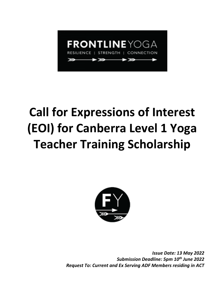

# **Call for Expressions of Interest (EOI) for Canberra Level 1 Yoga Teacher Training Scholarship**



*Issue Date: 13 May 2022 Submission Deadline: 5pm 10th June 2022 Request To: Current and Ex Serving ADF Members residing in ACT*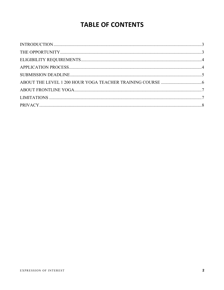## **TABLE OF CONTENTS**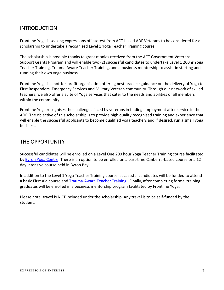## INTRODUCTION

Frontline Yoga is seeking expressions of interest from ACT-based ADF Veterans to be considered for a scholarship to undertake a recognised Level 1 Yoga Teacher Training course.

The scholarship is possible thanks to grant monies received from the ACT Government Veterans Support Grants Program and will enable two (2) successful candidates to undertake Level 1 200hr Yoga Teacher Training, Trauma Aware Teacher Training, and a business mentorship to assist in starting and running their own yoga business.

Frontline Yoga is a not-for-profit organisation offering best practice guidance on the delivery of Yoga to First Responders, Emergency Services and Military Veteran community. Through our network of skilled teachers, we also offer a suite of Yoga services that cater to the needs and abilities of all members within the community.

Frontline Yoga recognises the challenges faced by veterans in finding employment after service in the ADF. The objective of this scholarship is to provide high quality recognised training and experience that will enable the successful applicants to become qualified yoga teachers and if desired, run a small yoga business.

## THE OPPORTUNITY

Successful candidates will be enrolled on a Level One 200 hour Yoga Teacher Training course facilitated by [Byron Yoga Centre.](https://www.byronyoga.com/byron-yoga-centre-teacher-training/) There is an option to be enrolled on a part-time Canberra-based course or a 12 day intensive course held in Byron Bay.

In addition to the Level 1 Yoga Teacher Training course, successful candidates will be funded to attend a basic First Aid course and [Trauma-Aware Teacher Training.](https://www.byronyoga.com/4-day-trauma-aware-yoga-teacher-training/) Finally, after completing formal training. graduates will be enrolled in a business mentorship program facilitated by Frontline Yoga.

Please note, travel is NOT included under the scholarship. Any travel is to be self-funded by the student.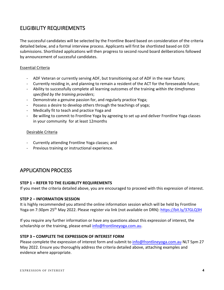## ELIGIBILITY REQUIREMENTS

The successful candidates will be selected by the Frontline Board based on consideration of the criteria detailed below, and a formal interview process. Applicants will first be shortlisted based on EOI submissions. Shortlisted applications will then progress to second round board deliberations followed by announcement of successful candidates.

#### Essential Criteria

- ADF Veteran or currently serving ADF, but transitioning out of ADF in the near future;
- Currently residing in, and planning to remain a resident of the ACT for the foreseeable future;
- Ability to successfully complete all learning outcomes of the training *within the timeframes specified by the training providers*;
- Demonstrate a genuine passion for, and regularly practice Yoga;
- Possess a desire to develop others through the teachings of yoga;
- Medically fit to teach and practice Yoga and
- Be willing to commit to Frontline Yoga by agreeing to set up and deliver Frontline Yoga classes in your community for at least 12months

#### Desirable Criteria

- Currently attending Frontline Yoga classes; and
- Previous training or instructional experience.

## APPLICATION PROCESS

#### **STEP 1 – REFER TO THE ELIGIBLITY REQUIREMENTS**

If you meet the criteria detailed above, you are encouraged to proceed with this expression of interest.

#### **STEP 2 – INFORMATION SESSION**

It is highly recommended you attend the online information session which will be held by Frontline Yoga on 7:30pm 25<sup>th</sup> May 2022. Please register via link (not available on DRN): https://[bit.ly/37GLQ3H](https://app.acuityscheduling.com/schedule.php?owner=21241192&appointmentType=33363981)

If you require any further information or have any questions about this expression of interest, the scholarship or the training, please email [info@frontlineyoga.com.au.](mailto:info@frontlineyoga.com.au)

#### **STEP 3 – COMPLETE THE EXPRESSION OF INTEREST FORM**

Please complete the expression of interest form and submit t[o info@frontlineyoga.com.au](mailto:info@frontlineyoga.com.au) NLT 5pm 27 May 2022. Ensure you thoroughly address the criteria detailed above, attaching examples and evidence where appropriate.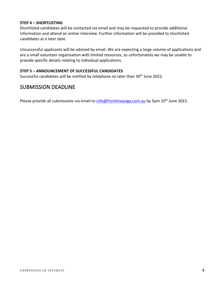#### **STEP 4 – SHORTLISTING**

Shortlisted candidates will be contacted via email and may be requested to provide additional information and attend an online interview. Further information will be provided to shortlisted candidates at a later date.

Unsuccessful applicants will be advised by email. We are expecting a large volume of applications and are a small volunteer organisation with limited resources, so unfortunately we may be unable to provide specific details relating to individual applications.

#### **STEP 5 – ANNOUNCEMENT OF SUCCESSFUL CANDIDATES**

Successful candidates will be notified by telephone no later than 30<sup>th</sup> June 2022.

## SUBMISSION DEADLINE

Please provide all submissions via email to *info@frontlineyoga.com.au* by 5pm 10<sup>th</sup> June 2022.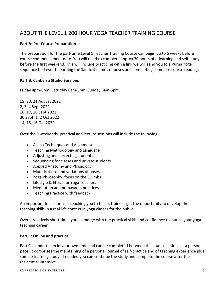## ABOUT THE LEVEL 1 200 HOUR YOGA TEACHER TRAINING COURSE

#### **Part A: Pre-Course Preparation**

The preparation for the part-time Level 1 Teacher Training Course can begin up to 6 weeks before course commencement date. You will need to complete approx 30 hours of e-learning and self-study before the first weekend. This will include practicing with a link we will send you to a Purna Yoga sequence for Level 1, learning the Sanskrit names of poses and completing some pre course reading.

#### **Part B: Canberra Studio Sessions**

Friday 4pm-8pm. Saturday 8am-5pm. Sunday 8am-5pm.

19, 20, 21 August 2022 2, 3, 4 Sept 2022 16, 17, 18 Sept 2022 30 Sept, 1, 2 Oct 2022 14, 15, 16 Oct 2022

Over the 5 weekends, practical and lecture sessions will include the following:

- Asana Techniques and Alignment
- Teaching Methodology and Language
- Adjusting and correcting students
- Sequencing for classes and private students
- Applied Anatomy and Physiology
- Modifications and variations of poses
- Yoga Philosophy, focus on the 8 Limbs
- Lifestyle & Ethics for Yoga Teachers
- Meditation and pranayama practices
- Teaching Practice with feedback

An important focus for us is teaching you to teach, trainees get the opportunity to develop their teaching skills in a real-life context in yoga classes for the public.

Over a relatively short time, you'll emerge with the practical skills and confidence to launch your yoga teaching career.

#### **Part C: Online and practical**

Part C is undertaken in your own time and can be completed between the studio sessions at a personal pace. It comprises the maintaining of a personal journal of self-practice and of teaching experience plus some e-learning study. If needed you can continue the study and complete the course after the residential intensive.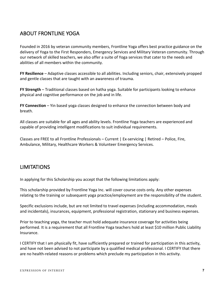## ABOUT FRONTLINE YOGA

Founded in 2016 by veteran community members, Frontline Yoga offers best practice guidance on the delivery of Yoga to the First Responders, Emergency Services and Military Veteran community. Through our network of skilled teachers, we also offer a suite of Yoga services that cater to the needs and abilities of all members within the community.

**FY Resilience** – Adaptive classes accessible to all abilities. Including seniors, chair, extensively propped and gentle classes that are taught with an awareness of trauma.

**FY Strength** – Traditional classes based on hatha yoga. Suitable for participants looking to enhance physical and cognitive performance on the job and in life.

**FY Connection** – Yin based yoga classes designed to enhance the connection between body and breath.

All classes are suitable for all ages and ability levels. Frontline Yoga teachers are experienced and capable of providing intelligent modifications to suit individual requirements.

Classes are FREE to all Frontline Professionals – Current | Ex-servicing | Retired – Police, Fire, Ambulance, Military, Healthcare Workers & Volunteer Emergency Services.

## LIMITATIONS

In applying for this Scholarship you accept that the following limitations apply:

This scholarship provided by Frontline Yoga Inc. will cover course costs only. Any other expenses relating to the training or subsequent yoga practice/employment are the responsibility of the student.

Specific exclusions include, but are not limited to travel expenses (including accommodation, meals and incidentals), insurances, equipment, professional registration, stationary and business expenses.

Prior to teaching yoga, the teacher must hold adequate insurance coverage for activities being performed. It is a requirement that all Frontline Yoga teachers hold at least \$10 million Public Liability Insurance.

I CERTIFY that I am physically fit, have sufficiently prepared or trained for participation in this activity, and have not been advised to not participate by a qualified medical professional. I CERTIFY that there are no health-related reasons or problems which preclude my participation in this activity.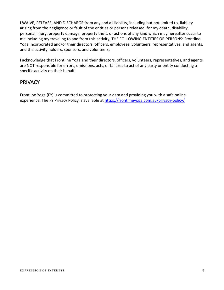I WAIVE, RELEASE, AND DISCHARGE from any and all liability, including but not limited to, liability arising from the negligence or fault of the entities or persons released, for my death, disability, personal injury, property damage, property theft, or actions of any kind which may hereafter occur to me including my traveling to and from this activity, THE FOLLOWING ENTITIES OR PERSONS: Frontline Yoga Incorporated and/or their directors, officers, employees, volunteers, representatives, and agents, and the activity holders, sponsors, and volunteers;

I acknowledge that Frontline Yoga and their directors, officers, volunteers, representatives, and agents are NOT responsible for errors, omissions, acts, or failures to act of any party or entity conducting a specific activity on their behalf.

## **PRIVACY**

Frontline Yoga (FY) is committed to protecting your data and providing you with a safe online experience. The FY Privacy Policy is available at<https://frontlineyoga.com.au/privacy-policy/>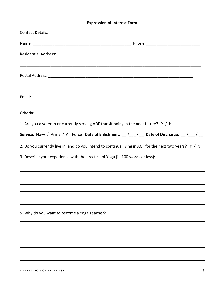#### **Expression of Interest Form**

| <b>Contact Details:</b>                                                                                                         |  |
|---------------------------------------------------------------------------------------------------------------------------------|--|
|                                                                                                                                 |  |
|                                                                                                                                 |  |
|                                                                                                                                 |  |
|                                                                                                                                 |  |
|                                                                                                                                 |  |
|                                                                                                                                 |  |
| Criteria:                                                                                                                       |  |
| 1. Are you a veteran or currently serving ADF transitioning in the near future? Y / N                                           |  |
| Service: Navy / Army / Air Force Date of Enlistment: $\frac{1}{2}$ $\frac{1}{2}$ Date of Discharge: $\frac{1}{2}$ $\frac{1}{2}$ |  |
| 2. Do you currently live in, and do you intend to continue living in ACT for the next two years? Y / N                          |  |
| 3. Describe your experience with the practice of Yoga (in 100 words or less): ______________________                            |  |
|                                                                                                                                 |  |
|                                                                                                                                 |  |
|                                                                                                                                 |  |
|                                                                                                                                 |  |
| 5. Why do you want to become a Yoga Teacher? ___________________________________                                                |  |
|                                                                                                                                 |  |
|                                                                                                                                 |  |
|                                                                                                                                 |  |
|                                                                                                                                 |  |
|                                                                                                                                 |  |